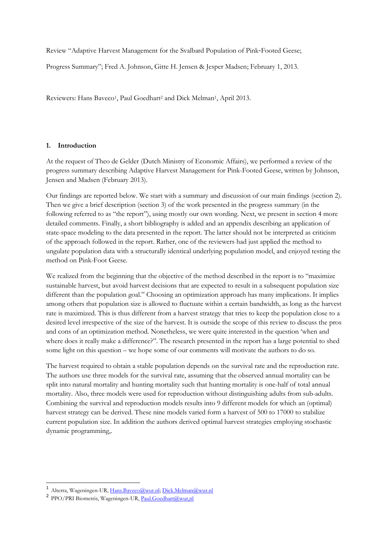Review "Adaptive Harvest Management for the Svalbard Population of Pink‐Footed Geese;

Progress Summary"; Fred A. Johnson, Gitte H. Jensen & Jesper Madsen; February 1, 2013.

Reviewers: Hans Baveco<sup>1</sup>, Paul Goedhart<sup>2</sup> and Dick Melman<sup>1</sup>, April 2013.

# **1. Introduction**

At the request of Theo de Gelder (Dutch Ministry of Economic Affairs), we performed a review of the progress summary describing Adaptive Harvest Management for Pink-Footed Geese, written by Johnson, Jensen and Madsen (February 2013).

Our findings are reported below. We start with a summary and discussion of our main findings (section 2). Then we give a brief description (section 3) of the work presented in the progress summary (in the following referred to as "the report"), using mostly our own wording. Next, we present in section 4 more detailed comments. Finally, a short bibliography is added and an appendix describing an application of state-space modeling to the data presented in the report. The latter should not be interpreted as criticism of the approach followed in the report. Rather, one of the reviewers had just applied the method to ungulate population data with a structurally identical underlying population model, and enjoyed testing the method on Pink-Foot Geese.

We realized from the beginning that the objective of the method described in the report is to "maximize" sustainable harvest, but avoid harvest decisions that are expected to result in a subsequent population size different than the population goal." Choosing an optimization approach has many implications. It implies among others that population size is allowed to fluctuate within a certain bandwidth, as long as the harvest rate is maximized. This is thus different from a harvest strategy that tries to keep the population close to a desired level irrespective of the size of the harvest. It is outside the scope of this review to discuss the pros and cons of an optimization method. Nonetheless, we were quite interested in the question 'when and where does it really make a difference?". The research presented in the report has a large potential to shed some light on this question – we hope some of our comments will motivate the authors to do so.

The harvest required to obtain a stable population depends on the survival rate and the reproduction rate. The authors use three models for the survival rate, assuming that the observed annual mortality can be split into natural mortality and hunting mortality such that hunting mortality is one-half of total annual mortality. Also, three models were used for reproduction without distinguishing adults from sub-adults. Combining the survival and reproduction models results into 9 different models for which an (optimal) harvest strategy can be derived. These nine models varied form a harvest of 500 to 17000 to stabilize current population size. In addition the authors derived optimal harvest strategies employing stochastic dynamic programming,.

-

<sup>1</sup> Alterra, Wageningen-UR, [Hans.Baveco@wur.nl;](mailto:Hans.Baveco@wur.nl) [Dick.Melman@wur.nl](mailto:Dick.Melman@wur.nl)

<sup>&</sup>lt;sup>2</sup> PPO/PRI Biometris, Wageningen-UR[, Paul.Goedhart@wur,nl](mailto:Paul.Goedhart@wur,nl)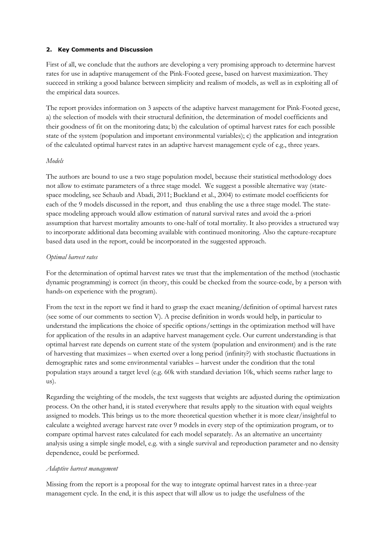### **2. Key Comments and Discussion**

First of all, we conclude that the authors are developing a very promising approach to determine harvest rates for use in adaptive management of the Pink-Footed geese, based on harvest maximization. They succeed in striking a good balance between simplicity and realism of models, as well as in exploiting all of the empirical data sources.

The report provides information on 3 aspects of the adaptive harvest management for Pink-Footed geese, a) the selection of models with their structural definition, the determination of model coefficients and their goodness of fit on the monitoring data; b) the calculation of optimal harvest rates for each possible state of the system (population and important environmental variables); c) the application and integration of the calculated optimal harvest rates in an adaptive harvest management cycle of e.g., three years.

# *Models*

The authors are bound to use a two stage population model, because their statistical methodology does not allow to estimate parameters of a three stage model. We suggest a possible alternative way (statespace modeling, see Schaub and Abadi, 2011; Buckland et al., 2004) to estimate model coefficients for each of the 9 models discussed in the report, and thus enabling the use a three stage model. The statespace modeling approach would allow estimation of natural survival rates and avoid the a-priori assumption that harvest mortality amounts to one-half of total mortality. It also provides a structured way to incorporate additional data becoming available with continued monitoring. Also the capture-recapture based data used in the report, could be incorporated in the suggested approach.

### *Optimal harvest rates*

For the determination of optimal harvest rates we trust that the implementation of the method (stochastic dynamic programming) is correct (in theory, this could be checked from the source-code, by a person with hands-on experience with the program).

From the text in the report we find it hard to grasp the exact meaning/definition of optimal harvest rates (see some of our comments to section V). A precise definition in words would help, in particular to understand the implications the choice of specific options/settings in the optimization method will have for application of the results in an adaptive harvest management cycle. Our current understanding is that optimal harvest rate depends on current state of the system (population and environment) and is the rate of harvesting that maximizes – when exerted over a long period (infinity?) with stochastic fluctuations in demographic rates and some environmental variables – harvest under the condition that the total population stays around a target level (e.g. 60k with standard deviation 10k, which seems rather large to us).

Regarding the weighting of the models, the text suggests that weights are adjusted during the optimization process. On the other hand, it is stated everywhere that results apply to the situation with equal weights assigned to models. This brings us to the more theoretical question whether it is more clear/insightful to calculate a weighted average harvest rate over 9 models in every step of the optimization program, or to compare optimal harvest rates calculated for each model separately. As an alternative an uncertainty analysis using a simple single model, e.g. with a single survival and reproduction parameter and no density dependence, could be performed.

### *Adaptive harvest management*

Missing from the report is a proposal for the way to integrate optimal harvest rates in a three-year management cycle. In the end, it is this aspect that will allow us to judge the usefulness of the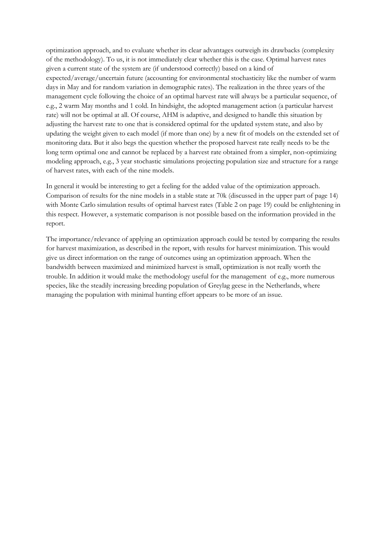optimization approach, and to evaluate whether its clear advantages outweigh its drawbacks (complexity of the methodology). To us, it is not immediately clear whether this is the case. Optimal harvest rates given a current state of the system are (if understood correctly) based on a kind of expected/average/uncertain future (accounting for environmental stochasticity like the number of warm days in May and for random variation in demographic rates). The realization in the three years of the management cycle following the choice of an optimal harvest rate will always be a particular sequence, of e.g., 2 warm May months and 1 cold. In hindsight, the adopted management action (a particular harvest rate) will not be optimal at all. Of course, AHM is adaptive, and designed to handle this situation by adjusting the harvest rate to one that is considered optimal for the updated system state, and also by updating the weight given to each model (if more than one) by a new fit of models on the extended set of monitoring data. But it also begs the question whether the proposed harvest rate really needs to be the long term optimal one and cannot be replaced by a harvest rate obtained from a simpler, non-optimizing modeling approach, e.g., 3 year stochastic simulations projecting population size and structure for a range of harvest rates, with each of the nine models.

In general it would be interesting to get a feeling for the added value of the optimization approach. Comparison of results for the nine models in a stable state at 70k (discussed in the upper part of page 14) with Monte Carlo simulation results of optimal harvest rates (Table 2 on page 19) could be enlightening in this respect. However, a systematic comparison is not possible based on the information provided in the report.

The importance/relevance of applying an optimization approach could be tested by comparing the results for harvest maximization, as described in the report, with results for harvest minimization. This would give us direct information on the range of outcomes using an optimization approach. When the bandwidth between maximized and minimized harvest is small, optimization is not really worth the trouble. In addition it would make the methodology useful for the management of e.g., more numerous species, like the steadily increasing breeding population of Greylag geese in the Netherlands, where managing the population with minimal hunting effort appears to be more of an issue.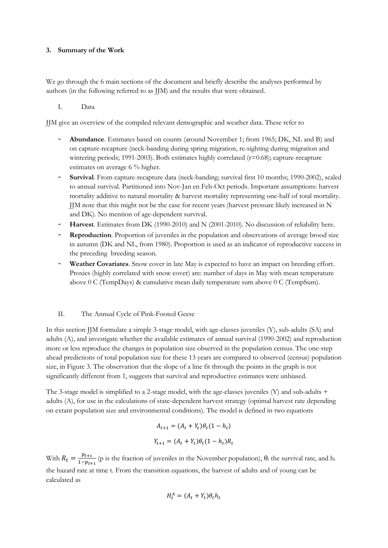### **3. Summary of the Work**

We go through the 6 main sections of the document and briefly describe the analyses performed by authors (in the following referred to as JJM) and the results that were obtained.

# I. Data

JJM give an overview of the compiled relevant demographic and weather data. These refer to

- **Abundance**. Estimates based on counts (around November 1; from 1965; DK, NL and B) and on capture-recapture (neck-banding during spring migration, re-sighting during migration and wintering periods; 1991-2003). Both estimates highly correlated  $(r=0.68)$ ; capture-recapture estimates on average 6 % higher.
- **Survival**. From capture-recapture data (neck-banding; survival first 10 months; 1990-2002), scaled to annual survival. Partitioned into Nov-Jan en Feb-Oct periods. Important assumptions: harvest mortality additive to natural mortality & harvest mortality representing one-half of total mortality. JJM note that this might not be the case for recent years (harvest pressure likely increased in N and DK). No mention of age-dependent survival.
- **Harvest**. Estimates from DK (1990-2010) and N (2001-2010). No discussion of reliability here.
- **Reproduction**. Proportion of juveniles in the population and observations of average brood size in autumn (DK and NL, from 1980). Proportion is used as an indicator of reproductive success in the preceding breeding season.
- Weather Covariates. Snow cover in late May is expected to have an impact on breeding effort. Proxies (highly correlated with snow cover) are: number of days in May with mean temperature above  $0 \text{ C (TempDays)}$  & cumulative mean daily temperature sum above  $0 \text{ C (TempSum)}$ .

# II. The Annual Cycle of Pink-Footed Geese

In this section JJM formulate a simple 3-stage model, with age-classes juveniles (Y), sub-adults (SA) and adults (A), and investigate whether the available estimates of annual survival (1990-2002) and reproduction more or less reproduce the changes in population size observed in the population census. The one-step ahead predictions of total population size for these 13 years are compared to observed (census) population size, in Figure 3. The observation that the slope of a line fit through the points in the graph is not significantly different from 1, suggests that survival and reproductive estimates were unbiased.

The 3-stage model is simplified to a 2-stage model, with the age-classes juveniles (Y) and sub-adults + adults (A), for use in the calculations of state-dependent harvest strategy (optimal harvest rate depending on extant population size and environmental conditions). The model is defined in two equations

$$
A_{t+1} = (A_t + Y_t)\theta_t(1 - h_t)
$$
  

$$
Y_{t+1} = (A_t + Y_t)\theta_t(1 - h_t)R_t
$$

With  $R_t = \frac{p}{1}$  $\frac{p_{t+1}}{1-p_{t+1}}$  (p is the fraction of juveniles in the November population),  $\theta_t$  the survival rate, and h<sub>t</sub> the hazard rate at time t. From the transition equations, the harvest of adults and of young can be calculated as

$$
H_t^A = (A_t + Y_t)\theta_t h_t
$$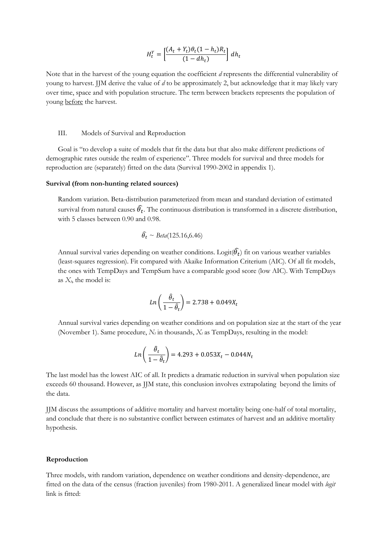$$
H_t^Y = \left[\frac{(A_t + Y_t)\theta_t(1 - h_t)R_t}{(1 - dh_t)}\right]dh_t
$$

Note that in the harvest of the young equation the coefficient *d* represents the differential vulnerability of young to harvest. JJM derive the value of *d* to be approximately 2, but acknowledge that it may likely vary over time, space and with population structure. The term between brackets represents the population of young before the harvest.

### III. Models of Survival and Reproduction

Goal is "to develop a suite of models that fit the data but that also make different predictions of demographic rates outside the realm of experience". Three models for survival and three models for reproduction are (separately) fitted on the data (Survival 1990-2002 in appendix 1).

### **Survival (from non-hunting related sources)**

Random variation. Beta-distribution parameterized from mean and standard deviation of estimated survival from natural causes  $\widehat{\theta}_t$ . The continuous distribution is transformed in a discrete distribution, with 5 classes between 0.90 and 0.98.

$$
\widehat{\theta_t} \sim Beta(125.16, 6.46)
$$

Annual survival varies depending on weather conditions. Logit( $\widehat{\theta}_t$ ) fit on various weather variables (least-squares regression). Fit compared with Akaike Information Criterium (AIC). Of all fit models, the ones with TempDays and TempSum have a comparable good score (low AIC). With TempDays as *Xt*, the model is:

$$
Ln\left(\frac{\hat{\theta_t}}{1-\hat{\theta_t}}\right) = 2.738 + 0.049X_t
$$

Annual survival varies depending on weather conditions and on population size at the start of the year (November 1). Same procedure,  $N_t$  in thousands,  $X_t$  as TempDays, resulting in the model:

$$
Ln\left(\frac{\hat{\theta}_t}{1 - \hat{\theta}_t}\right) = 4.293 + 0.053X_t - 0.044N_t
$$

The last model has the lowest AIC of all. It predicts a dramatic reduction in survival when population size exceeds 60 thousand. However, as JJM state, this conclusion involves extrapolating beyond the limits of the data.

JJM discuss the assumptions of additive mortality and harvest mortality being one-half of total mortality, and conclude that there is no substantive conflict between estimates of harvest and an additive mortality hypothesis.

#### **Reproduction**

Three models, with random variation, dependence on weather conditions and density-dependence, are fitted on the data of the census (fraction juveniles) from 1980-2011. A generalized linear model with *logit* link is fitted: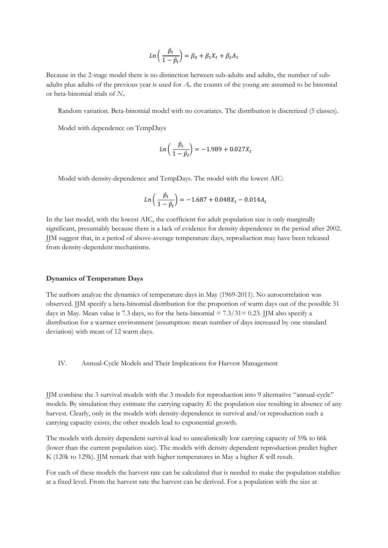$$
Ln\left(\frac{\hat{p}_t}{1-\hat{p}_t}\right) = \beta_0 + \beta_1 X_t + \beta_2 A_t
$$

Because in the 2-stage model there is no distinction between sub-adults and adults, the number of subadults plus adults of the previous year is used for *At*. the counts of the young are assumed to be binomial or beta-binomial trials of *Nt*.

Random variation. Beta-binomial model with no covariates. The distribution is discretized (5 classes).

Model with dependence on TempDays

$$
Ln\left(\frac{\hat{p}_t}{1-\hat{p}_t}\right) = -1.989 + 0.027X_t
$$

Model with density-dependence and TempDays. The model with the lowest AIC:

$$
Ln\left(\frac{\hat{p}_t}{1-\hat{p}_t}\right) = -1.687 + 0.048X_t - 0.014A_t
$$

In the last model, with the lowest AIC, the coefficient for adult population size is only marginally significant, presumably because there is a lack of evidence for density dependence in the period after 2002. JJM suggest that, in a period of above-average temperature days, reproduction may have been released from density-dependent mechanisms.

#### **Dynamics of Temperature Days**

The authors analyze the dynamics of temperature days in May (1969-2011). No autocorrelation was observed. JJM specify a beta-binomial distribution for the proportion of warm days out of the possible 31 days in May. Mean value is 7.3 days, so for the beta-binomial  $= 7.3/31 = 0.23$ . JJM also specify a distribution for a warmer environment (assumption: mean number of days increased by one standard deviation) with mean of 12 warm days.

IV. Annual-Cycle Models and Their Implications for Harvest Management

JJM combine the 3 survival models with the 3 models for reproduction into 9 alternative "annual-cycle" models. By simulation they estimate the carrying capacity *K*: the population size resulting in absence of any harvest. Clearly, only in the models with density-dependence in survival and/or reproduction such a carrying capacity exists; the other models lead to exponential growth.

The models with density dependent survival lead to unrealistically low carrying capacity of 59k to 66k (lower than the current population size). The models with density dependent reproduction predict higher K (120k to 129k). JJM remark that with higher temperatures in May a higher *K* will result.

For each of these models the harvest rate can be calculated that is needed to make the population stabilize at a fixed level. From the harvest rate the harvest can be derived. For a population with the size at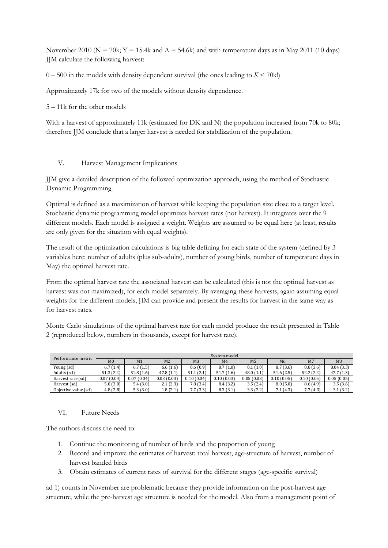November 2010 ( $N = 70k$ ;  $Y = 15.4k$  and  $A = 54.6k$ ) and with temperature days as in May 2011 (10 days) JJM calculate the following harvest:

 $0 - 500$  in the models with density dependent survival (the ones leading to  $K < 70$ k!)

Approximately 17k for two of the models without density dependence.

5 – 11k for the other models

With a harvest of approximately 11k (estimated for DK and N) the population increased from 70k to 80k; therefore JJM conclude that a larger harvest is needed for stabilization of the population.

# V. Harvest Management Implications

JJM give a detailed description of the followed optimization approach, using the method of Stochastic Dynamic Programming.

Optimal is defined as a maximization of harvest while keeping the population size close to a target level. Stochastic dynamic programming model optimizes harvest rates (not harvest). It integrates over the 9 different models. Each model is assigned a weight. Weights are assumed to be equal here (at least, results are only given for the situation with equal weights).

The result of the optimization calculations is big table defining for each state of the system (defined by 3 variables here: number of adults (plus sub-adults), number of young birds, number of temperature days in May) the optimal harvest rate.

From the optimal harvest rate the associated harvest can be calculated (this is not the optimal harvest as harvest was not maximized), for each model separately. By averaging these harvests, again assuming equal weights for the different models, JJM can provide and present the results for harvest in the same way as for harvest rates.

Monte Carlo simulations of the optimal harvest rate for each model produce the result presented in Table 2 (reproduced below, numbers in thousands, except for harvest rate).

| Performance metric   | System model   |                |                |                |                |                |                |                |                |
|----------------------|----------------|----------------|----------------|----------------|----------------|----------------|----------------|----------------|----------------|
|                      | M <sub>0</sub> | M <sub>1</sub> | M <sub>2</sub> | M <sub>3</sub> | M <sub>4</sub> | M <sub>5</sub> | M <sub>6</sub> | M <sub>7</sub> | M <sub>8</sub> |
| Young (sd)           | 6.7(1.4)       | 6.7(1.5)       | 6.6(1.6)       | 8.6(0.9)       | 8.7(1.0)       | 8.1(1.0)       | 8.7(3.6)       | 8.8(3.6)       | 8.04(3.3)      |
| Adults (sd)          | 51.3(2.2)      | 51.8(1.6)      | 47.8(1.1)      | 51.4(2.1)      | 51.7(1.6)      | 48.0 (1.1)     | 51.6(2.5)      | 52.2 (2.2)     | 47.7 (1.3)     |
| Harvest rate (sd)    | 0.07(0.04)     | 0.07(0.04)     | 0.03(0.03)     | 0.10(0.04)     | 0.10(0.03)     | 0.05(0.03)     | 0.10(0.05)     | 0.10(0.05)     | 0.05(0.05)     |
| Harvest (sd)         | 5.0(3.0)       | 5.4(3.0)       | 2.1(2.3)       | 7.8(3.4)       | 8.4 (3.2)      | 3.5(2.4)       | 8.0(5.0)       | 8.6(4.9)       | 3.5(3.6)       |
| Objective value (sd) | 4.8(2.8)       | 5.3(3.0)       | 1.8(2.1)       | 7.7(3.3)       | 8.3(3.1)       | 3.3(2.2)       | 7.1(4.3)       | 7.7(4.3)       | 3.1(3.2)       |

# VI. Future Needs

The authors discuss the need to:

- 1. Continue the monitoring of number of birds and the proportion of young
- 2. Record and improve the estimates of harvest: total harvest, age-structure of harvest, number of harvest banded birds
- 3. Obtain estimates of current rates of survival for the different stages (age-specific survival)

ad 1) counts in November are problematic because they provide information on the post-harvest age structure, while the pre-harvest age structure is needed for the model. Also from a management point of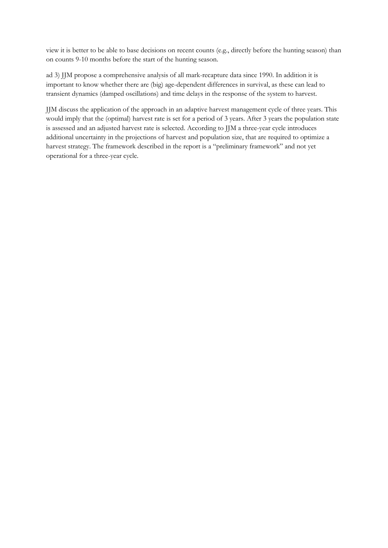view it is better to be able to base decisions on recent counts (e.g., directly before the hunting season) than on counts 9-10 months before the start of the hunting season.

ad 3) JJM propose a comprehensive analysis of all mark-recapture data since 1990. In addition it is important to know whether there are (big) age-dependent differences in survival, as these can lead to transient dynamics (damped oscillations) and time delays in the response of the system to harvest.

JJM discuss the application of the approach in an adaptive harvest management cycle of three years. This would imply that the (optimal) harvest rate is set for a period of 3 years. After 3 years the population state is assessed and an adjusted harvest rate is selected. According to JJM a three-year cycle introduces additional uncertainty in the projections of harvest and population size, that are required to optimize a harvest strategy. The framework described in the report is a "preliminary framework" and not yet operational for a three-year cycle.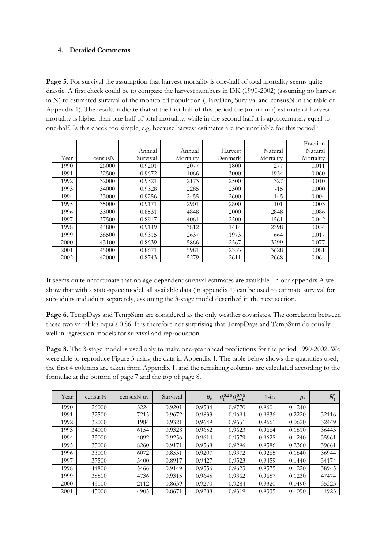# **4. Detailed Comments**

Page 5. For survival the assumption that harvest mortality is one-half of total mortality seems quite drastic. A first check could be to compare the harvest numbers in DK (1990-2002) (assuming no harvest in N) to estimated survival of the monitored population (HarvDen, Survival and censusN in the table of Appendix 1). The results indicate that at the first half of this period the (minimum) estimate of harvest mortality is higher than one-half of total mortality, while in the second half it is approximately equal to one-half. Is this check too simple, e.g. because harvest estimates are too unreliable for this period?

|      |         |          |           |         |           | Fraction  |
|------|---------|----------|-----------|---------|-----------|-----------|
|      |         | Annual   | Annual    | Harvest | Natural   | Natural   |
| Year | censusN | Survival | Mortality | Denmark | Mortality | Mortality |
| 1990 | 26000   | 0.9201   | 2077      | 1800    | 277       | 0.011     |
| 1991 | 32500   | 0.9672   | 1066      | 3000    | $-1934$   | $-0.060$  |
| 1992 | 32000   | 0.9321   | 2173      | 2500    | $-327$    | $-0.010$  |
| 1993 | 34000   | 0.9328   | 2285      | 2300    | $-15$     | 0.000     |
| 1994 | 33000   | 0.9256   | 2455      | 2600    | $-145$    | $-0.004$  |
| 1995 | 35000   | 0.9171   | 2901      | 2800    | 101       | 0.003     |
| 1996 | 33000   | 0.8531   | 4848      | 2000    | 2848      | 0.086     |
| 1997 | 37500   | 0.8917   | 4061      | 2500    | 1561      | 0.042     |
| 1998 | 44800   | 0.9149   | 3812      | 1414    | 2398      | 0.054     |
| 1999 | 38500   | 0.9315   | 2637      | 1973    | 664       | 0.017     |
| 2000 | 43100   | 0.8639   | 5866      | 2567    | 3299      | 0.077     |
| 2001 | 45000   | 0.8671   | 5981      | 2353    | 3628      | 0.081     |
| 2002 | 42000   | 0.8743   | 5279      | 2611    | 2668      | 0.064     |

It seems quite unfortunate that no age-dependent survival estimates are available. In our appendix A we show that with a state-space model, all available data (in appendix 1) can be used to estimate survival for sub-adults and adults separately, assuming the 3-stage model described in the next section.

**Page 6.** TempDays and TempSum are considered as the only weather covariates. The correlation between these two variables equals 0.86. It is therefore not surprising that TempDays and TempSum do equally well in regression models for survival and reproduction.

**Page 8.** The 3-stage model is used only to make one-year ahead predictions for the period 1990-2002. We were able to reproduce Figure 3 using the data in Appendix 1. The table below shows the quantities used; the first 4 columns are taken from Appendix 1, and the remaining columns are calculated according to the formulae at the bottom of page 7 and the top of page 8.

| Year | censusN | $census$ Njuv | Survival | $\theta_t$ | $\theta_t^{0.25} \theta_{t+1}^{0.75}$ | $1-h_t$ | $p_t$  | $\widehat{N_t}$ |
|------|---------|---------------|----------|------------|---------------------------------------|---------|--------|-----------------|
| 1990 | 26000   | 3224          | 0.9201   | 0.9584     | 0.9770                                | 0.9601  | 0.1240 | -               |
| 1991 | 32500   | 7215          | 0.9672   | 0.9833     | 0.9694                                | 0.9836  | 0.2220 | 32116           |
| 1992 | 32000   | 1984          | 0.9321   | 0.9649     | 0.9651                                | 0.9661  | 0.0620 | 32449           |
| 1993 | 34000   | 6154          | 0.9328   | 0.9652     | 0.9623                                | 0.9664  | 0.1810 | 36443           |
| 1994 | 33000   | 4092          | 0.9256   | 0.9614     | 0.9579                                | 0.9628  | 0.1240 | 35961           |
| 1995 | 35000   | 8260          | 0.9171   | 0.9568     | 0.9296                                | 0.9586  | 0.2360 | 39661           |
| 1996 | 33000   | 6072          | 0.8531   | 0.9207     | 0.9372                                | 0.9265  | 0.1840 | 36944           |
| 1997 | 37500   | 5400          | 0.8917   | 0.9427     | 0.9523                                | 0.9459  | 0.1440 | 34174           |
| 1998 | 44800   | 5466          | 0.9149   | 0.9556     | 0.9623                                | 0.9575  | 0.1220 | 38945           |
| 1999 | 38500   | 4736          | 0.9315   | 0.9645     | 0.9362                                | 0.9657  | 0.1230 | 47474           |
| 2000 | 43100   | 2112          | 0.8639   | 0.9270     | 0.9284                                | 0.9320  | 0.0490 | 35323           |
| 2001 | 45000   | 4905          | 0.8671   | 0.9288     | 0.9319                                | 0.9335  | 0.1090 | 41923           |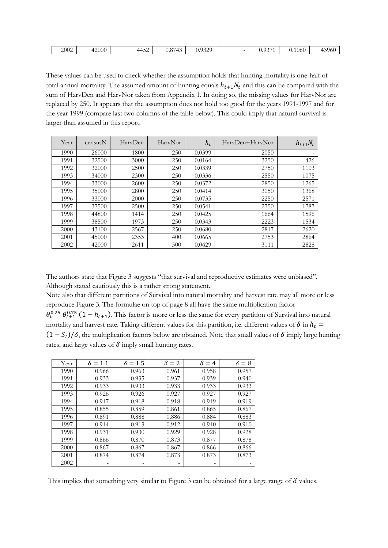These values can be used to check whether the assumption holds that hunting mortality is one-half of total annual mortality. The assumed amount of hunting equals  $h_{t+1}N_t$  and this can be compared with the sum of HarvDen and HarvNor taken from Appendix 1. In doing so, the missing values for HarvNor are replaced by 250. It appears that the assumption does not hold too good for the years 1991-1997 and for the year 1999 (compare last two columns of the table below). This could imply that natural survival is larger than assumed in this report.

| Year | censusN | HarvDen | HarvNor | $h_t$  | HaryDen+HaryNor | $h_{t+1}N_t$ |
|------|---------|---------|---------|--------|-----------------|--------------|
| 1990 | 26000   | 1800    | 250     | 0.0399 | 2050            |              |
| 1991 | 32500   | 3000    | 250     | 0.0164 | 3250            | 426          |
| 1992 | 32000   | 2500    | 250     | 0.0339 | 2750            | 1103         |
| 1993 | 34000   | 2300    | 250     | 0.0336 | 2550            | 1075         |
| 1994 | 33000   | 2600    | 250     | 0.0372 | 2850            | 1265         |
| 1995 | 35000   | 2800    | 250     | 0.0414 | 3050            | 1368         |
| 1996 | 33000   | 2000    | 250     | 0.0735 | 2250            | 2571         |
| 1997 | 37500   | 2500    | 250     | 0.0541 | 2750            | 1787         |
| 1998 | 44800   | 1414    | 250     | 0.0425 | 1664            | 1596         |
| 1999 | 38500   | 1973    | 250     | 0.0343 | 2223            | 1534         |
| 2000 | 43100   | 2567    | 250     | 0.0680 | 2817            | 2620         |
| 2001 | 45000   | 2353    | 400     | 0.0665 | 2753            | 2864         |
| 2002 | 42000   | 2611    | 500     | 0.0629 | 3111            | 2828         |

The authors state that Figure 3 suggests "that survival and reproductive estimates were unbiased". Although stated cautiously this is a rather strong statement.

Note also that different partitions of Survival into natural mortality and harvest rate may all more or less reproduce Figure 3. The formulae on top of page 8 all have the same multiplication factor  $\theta_t^{0.25}$   $\theta_{t+1}^{0.75}$  (1 –  $h_{t+1}$ ). This factor is more or less the same for every partition of Survival into natural mortality and harvest rate. Taking different values for this partition, i.e. different values of  $\delta$  in  $h_t$  $(1 - S_t)/\delta$ , the multiplication factors below are obtained. Note that small values of  $\delta$  imply large hunting rates, and large values of  $\delta$  imply small hunting rates.

| Year | $\delta = 1.1$ | $\delta = 1.5$ | $\delta = 2$ | $\delta = 4$ | $\delta=8$ |
|------|----------------|----------------|--------------|--------------|------------|
| 1990 | 0.966          | 0.963          | 0.961        | 0.958        | 0.957      |
| 1991 | 0.933          | 0.935          | 0.937        | 0.939        | 0.940      |
| 1992 | 0.933          | 0.933          | 0.933        | 0.933        | 0.933      |
| 1993 | 0.926          | 0.926          | 0.927        | 0.927        | 0.927      |
| 1994 | 0.917          | 0.918          | 0.918        | 0.919        | 0.919      |
| 1995 | 0.855          | 0.859          | 0.861        | 0.865        | 0.867      |
| 1996 | 0.891          | 0.888          | 0.886        | 0.884        | 0.883      |
| 1997 | 0.914          | 0.913          | 0.912        | 0.910        | 0.910      |
| 1998 | 0.931          | 0.930          | 0.929        | 0.928        | 0.928      |
| 1999 | 0.866          | 0.870          | 0.873        | 0.877        | 0.878      |
| 2000 | 0.867          | 0.867          | 0.867        | 0.866        | 0.866      |
| 2001 | 0.874          | 0.874          | 0.873        | 0.873        | 0.873      |
| 2002 | ۰              | -              | -            | ۰            |            |

This implies that something very similar to Figure 3 can be obtained for a large range of  $\delta$  values.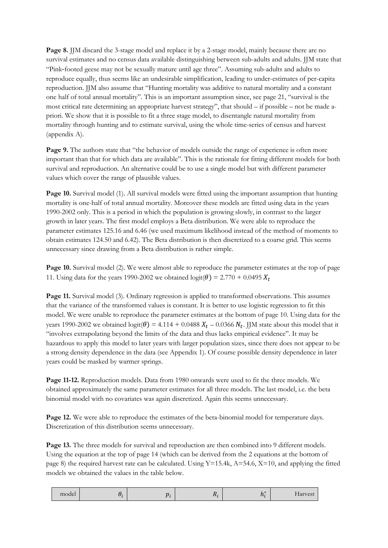**Page 8.** JJM discard the 3-stage model and replace it by a 2-stage model, mainly because there are no survival estimates and no census data available distinguishing between sub-adults and adults. JJM state that "Pink‐footed geese may not be sexually mature until age three". Assuming sub-adults and adults to reproduce equally, thus seems like an undesirable simplification, leading to under-estimates of per-capita reproduction. JJM also assume that "Hunting mortality was additive to natural mortality and a constant one half of total annual mortality". This is an important assumption since, see page 21, "survival is the most critical rate determining an appropriate harvest strategy", that should – if possible – not be made apriori. We show that it is possible to fit a three stage model, to disentangle natural mortality from mortality through hunting and to estimate survival, using the whole time-series of census and harvest (appendix A).

Page 9. The authors state that "the behavior of models outside the range of experience is often more important than that for which data are available". This is the rationale for fitting different models for both survival and reproduction. An alternative could be to use a single model but with different parameter values which cover the range of plausible values.

**Page 10.** Survival model (1). All survival models were fitted using the important assumption that hunting mortality is one-half of total annual mortality. Moreover these models are fitted using data in the years 1990-2002 only. This is a period in which the population is growing slowly, in contrast to the larger growth in later years. The first model employs a Beta distribution. We were able to reproduce the parameter estimates 125.16 and 6.46 (we used maximum likelihood instead of the method of moments to obtain estimates 124.50 and 6.42). The Beta distribution is then discretized to a coarse grid. This seems unnecessary since drawing from a Beta distribution is rather simple.

**Page 10.** Survival model (2). We were almost able to reproduce the parameter estimates at the top of page 11. Using data for the years 1990-2002 we obtained  $logit(\theta) = 2.770 + 0.0495 X_t$ 

**Page 11.** Survival model (3). Ordinary regression is applied to transformed observations. This assumes that the variance of the transformed values is constant. It is better to use logistic regression to fit this model. We were unable to reproduce the parameter estimates at the bottom of page 10. Using data for the years 1990-2002 we obtained  $logit(\theta) = 4.114 + 0.0488 X_t - 0.0366 N_t$ . JJM state about this model that it "involves extrapolating beyond the limits of the data and thus lacks empirical evidence". It may be hazardous to apply this model to later years with larger population sizes, since there does not appear to be a strong density dependence in the data (see Appendix 1). Of course possible density dependence in later years could be masked by warmer springs.

**Page 11-12.** Reproduction models. Data from 1980 onwards were used to fit the three models. We obtained approximately the same parameter estimates for all three models. The last model, i.e. the beta binomial model with no covariates was again discretized. Again this seems unnecessary.

**Page 12.** We were able to reproduce the estimates of the beta-binomial model for temperature days. Discretization of this distribution seems unnecessary.

**Page 13.** The three models for survival and reproduction are then combined into 9 different models. Using the equation at the top of page 14 (which can be derived from the 2 equations at the bottom of page 8) the required harvest rate can be calculated. Using  $Y=15.4k$ ,  $A=54.6$ ,  $X=10$ , and applying the fitted models we obtained the values in the table below.

| model | – . | $\boldsymbol{n}$ | 4 L F | . and the second<br>. .<br>1 L : | <b>Harvest</b> |
|-------|-----|------------------|-------|----------------------------------|----------------|
|       |     |                  |       |                                  |                |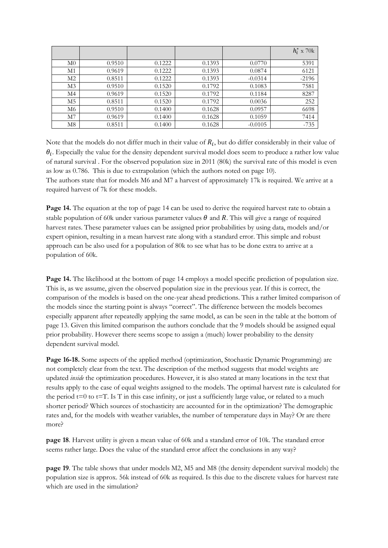|                |        |        |        |           | $h_i^*$ x 70k |
|----------------|--------|--------|--------|-----------|---------------|
| M <sub>0</sub> | 0.9510 | 0.1222 | 0.1393 | 0.0770    | 5391          |
| M1             | 0.9619 | 0.1222 | 0.1393 | 0.0874    | 6121          |
| M <sub>2</sub> | 0.8511 | 0.1222 | 0.1393 | $-0.0314$ | $-2196$       |
| M <sub>3</sub> | 0.9510 | 0.1520 | 0.1792 | 0.1083    | 7581          |
| M <sub>4</sub> | 0.9619 | 0.1520 | 0.1792 | 0.1184    | 8287          |
| M <sub>5</sub> | 0.8511 | 0.1520 | 0.1792 | 0.0036    | 252           |
| M <sub>6</sub> | 0.9510 | 0.1400 | 0.1628 | 0.0957    | 6698          |
| M <sub>7</sub> | 0.9619 | 0.1400 | 0.1628 | 0.1059    | 7414          |
| M8             | 0.8511 | 0.1400 | 0.1628 | $-0.0105$ | $-735$        |

Note that the models do not differ much in their value of  $R_i$ , but do differ considerably in their value of  $\theta_i$ . Especially the value for the density dependent survival model does seem to produce a rather low value of natural survival . For the observed population size in 2011 (80k) the survival rate of this model is even as low as 0.786. This is due to extrapolation (which the authors noted on page 10). The authors state that for models M6 and M7 a harvest of approximately 17k is required. We arrive at a required harvest of 7k for these models.

**Page 14.** The equation at the top of page 14 can be used to derive the required harvest rate to obtain a stable population of 60k under various parameter values  $\theta$  and R. This will give a range of required harvest rates. These parameter values can be assigned prior probabilities by using data, models and/or expert opinion, resulting in a mean harvest rate along with a standard error. This simple and robust approach can be also used for a population of 80k to see what has to be done extra to arrive at a population of 60k.

**Page 14.** The likelihood at the bottom of page 14 employs a model specific prediction of population size. This is, as we assume, given the observed population size in the previous year. If this is correct, the comparison of the models is based on the one-year ahead predictions. This a rather limited comparison of the models since the starting point is always "correct". The difference between the models becomes especially apparent after repeatedly applying the same model, as can be seen in the table at the bottom of page 13. Given this limited comparison the authors conclude that the 9 models should be assigned equal prior probability. However there seems scope to assign a (much) lower probability to the density dependent survival model.

**Page 16-18.** Some aspects of the applied method (optimization, Stochastic Dynamic Programming) are not completely clear from the text. The description of the method suggests that model weights are updated *inside* the optimization procedures. However, it is also stated at many locations in the text that results apply to the case of equal weights assigned to the models. The optimal harvest rate is calculated for the period  $t=0$  to  $t=T$ . Is T in this case infinity, or just a sufficiently large value, or related to a much shorter period? Which sources of stochasticity are accounted for in the optimization? The demographic rates and, for the models with weather variables, the number of temperature days in May? Or are there more?

**page 18**. Harvest utility is given a mean value of 60k and a standard error of 10k. The standard error seems rather large. Does the value of the standard error affect the conclusions in any way?

**page 19**. The table shows that under models M2, M5 and M8 (the density dependent survival models) the population size is approx. 56k instead of 60k as required. Is this due to the discrete values for harvest rate which are used in the simulation?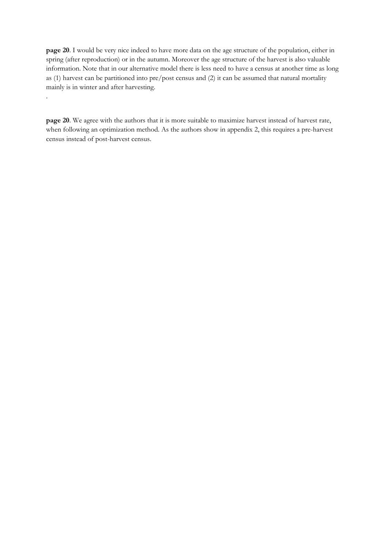**page 20**. I would be very nice indeed to have more data on the age structure of the population, either in spring (after reproduction) or in the autumn. Moreover the age structure of the harvest is also valuable information. Note that in our alternative model there is less need to have a census at another time as long as (1) harvest can be partitioned into pre/post census and (2) it can be assumed that natural mortality mainly is in winter and after harvesting.

**page 20**. We agree with the authors that it is more suitable to maximize harvest instead of harvest rate, when following an optimization method. As the authors show in appendix 2, this requires a pre-harvest census instead of post-harvest census.

.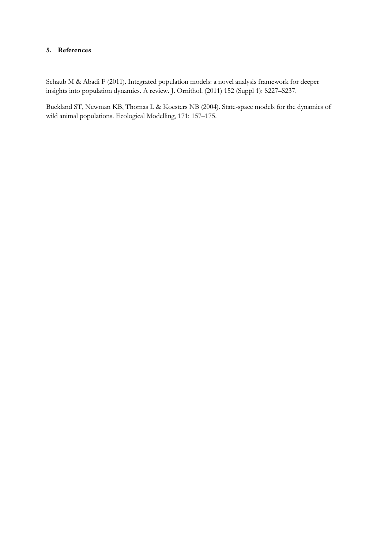# **5. References**

Schaub M & Abadi F (2011). Integrated population models: a novel analysis framework for deeper insights into population dynamics. A review. J. Ornithol. (2011) 152 (Suppl 1): S227–S237.

Buckland ST, Newman KB, Thomas L & Koesters NB (2004). State-space models for the dynamics of wild animal populations. Ecological Modelling, 171: 157–175.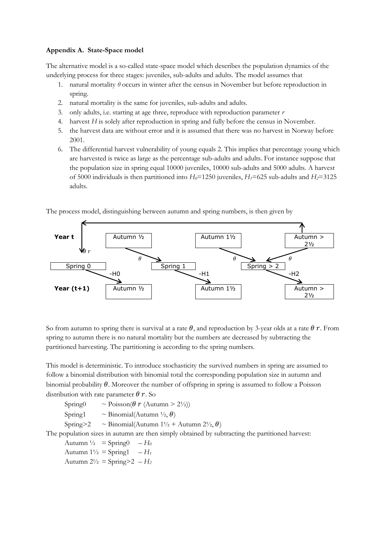### **Appendix A. State-Space model**

The alternative model is a so-called state-space model which describes the population dynamics of the underlying process for three stages: juveniles, sub-adults and adults. The model assumes that

- 1. natural mortality  $\theta$  occurs in winter after the census in November but before reproduction in spring.
- 2. natural mortality is the same for juveniles, sub-adults and adults.
- 3. only adults, i.e. starting at age three, reproduce with reproduction parameter *r*
- 4. harvest *H* is solely after reproduction in spring and fully before the census in November.
- 5. the harvest data are without error and it is assumed that there was no harvest in Norway before 2001.
- 6. The differential harvest vulnerability of young equals 2. This implies that percentage young which are harvested is twice as large as the percentage sub-adults and adults. For instance suppose that the population size in spring equal 10000 juveniles, 10000 sub-adults and 5000 adults. A harvest of 5000 individuals is then partitioned into  $H_0$ =1250 juveniles,  $H_1$ =625 sub-adults and  $H_2$ =3125 adults.

The process model, distinguishing between autumn and spring numbers, is then given by



So from autumn to spring there is survival at a rate  $\theta$ , and reproduction by 3-year olds at a rate  $\theta$  r. From spring to autumn there is no natural mortality but the numbers are decreased by subtracting the partitioned harvesting. The partitioning is according to the spring numbers.

This model is deterministic. To introduce stochasticity the survived numbers in spring are assumed to follow a binomial distribution with binomial total the corresponding population size in autumn and binomial probability  $\theta$ . Moreover the number of offspring in spring is assumed to follow a Poisson distribution with rate parameter  $\theta$  r. So

Spring $0 \sim \text{Poisson}(\theta \ r \ (\text{Autumn} > 2\frac{1}{2}))$ Spring1  $\sim$  Binomial(Autumn  $\frac{1}{2}$ ,  $\theta$ ) Spring>2  $\sim$  Binomial(Autumn 1½ + Autumn 2½,  $\theta$ ) The population sizes in autumn are then simply obtained by subtracting the partitioned harvest:

```
Autumn \frac{1}{2} = Spring0 – H_0Autumn 1\frac{1}{2} = Spring1 – H_1Autumn 2^{1/2} = Spring>2 – H_2
```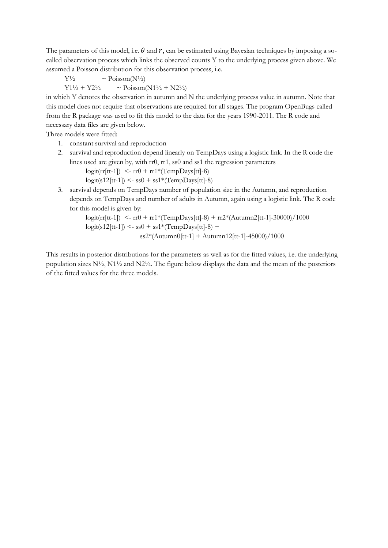The parameters of this model, i.e.  $\theta$  and  $r$ , can be estimated using Bayesian techniques by imposing a socalled observation process which links the observed counts Y to the underlying process given above. We assumed a Poisson distribution for this observation process, i.e.

 $Y\frac{1}{2}$  ~ Poisson(N<sup>1</sup>/2)

 $Y1\frac{1}{2} + Y2\frac{1}{2}$  ~ Poisson(N1<sup>1</sup>/<sub>2</sub> + N2<sup>1</sup>/<sub>2</sub>)

in which Y denotes the observation in autumn and N the underlying process value in autumn. Note that this model does not require that observations are required for all stages. The program OpenBugs called from the R package was used to fit this model to the data for the years 1990-2011. The R code and necessary data files are given below.

Three models were fitted:

- 1. constant survival and reproduction
- 2. survival and reproduction depend linearly on TempDays using a logistic link. In the R code the lines used are given by, with rr0, rr1, ss0 and ss1 the regression parameters

 $logit(rr[tt-1]) \le -rr0 + rr1*(TempDays[tt]-8)$ 

 $logit(s12[tt-1]) \leq -ss0 + ss1*(TempDays[tt]-8)$ 

3. survival depends on TempDays number of population size in the Autumn, and reproduction depends on TempDays and number of adults in Autumn, again using a logistic link. The R code for this model is given by:

> $\text{logit}(\text{rr}[tt-1])$  <-  $\text{rr}0 + \text{rr1*}(\text{TempDays}[tt]-8) + \text{rr2*}(\text{Autumn2}[tt-1]-30000)/1000$  $logit(s12[tt-1]) \leq -ss0 + ss1*(TempDays[tt]-8) +$  $ss2*(\text{Autumn0}[\text{tt-1}] + \text{Autumn12}[\text{tt-1}]-45000)/1000$

This results in posterior distributions for the parameters as well as for the fitted values, i.e. the underlying population sizes  $N\frac{1}{2}$ ,  $N1\frac{1}{2}$  and  $N2\frac{1}{2}$ . The figure below displays the data and the mean of the posteriors of the fitted values for the three models.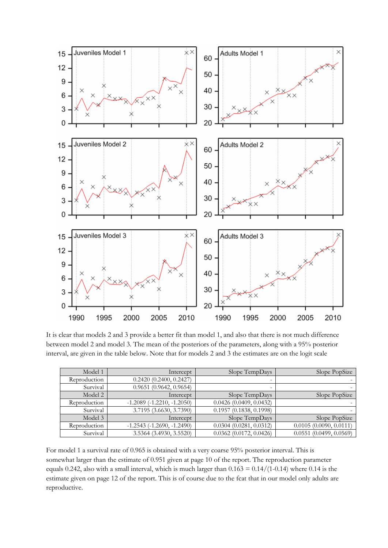

It is clear that models 2 and 3 provide a better fit than model 1, and also that there is not much difference between model 2 and model 3. The mean of the posteriors of the parameters, along with a 95% posterior interval, are given in the table below. Note that for models 2 and 3 the estimates are on the logit scale

| Model 1      | Intercept                      | Slope TempDays         | Slope PopSize             |
|--------------|--------------------------------|------------------------|---------------------------|
| Reproduction | 0.2420(0.2400, 0.2427)         | -                      |                           |
| Survival     | $0.9651$ (0.9642, 0.9654)      | -                      |                           |
| Model 2      | Intercept                      | Slope TempDays         | Slope PopSize             |
| Reproduction | $-1.2089$ $(-1.2210, -1.2050)$ | 0.0426(0.0409, 0.0432) |                           |
| Survival     | 3.7195 (3.6630, 3.7390)        | 0.1957(0.1838, 0.1998) |                           |
| Model 3      | Intercept                      | Slope TempDays         | Slope PopSize             |
| Reproduction | $-1.2543$ $(-1.2690, -1.2490)$ | 0.0304(0.0281, 0.0312) | 0.0105(0.0090, 0.0111)    |
| Survival     | 3.5364 (3.4930, 3.5520)        | 0.0362(0.0172, 0.0426) | $0.0551$ (0.0499, 0.0569) |

For model 1 a survival rate of 0.965 is obtained with a very coarse 95% posterior interval. This is somewhat larger than the estimate of 0.951 given at page 10 of the report. The reproduction parameter equals 0.242, also with a small interval, which is much larger than  $0.163 = 0.14/(1-0.14)$  where 0.14 is the estimate given on page 12 of the report. This is of course due to the fcat that in our model only adults are reproductive.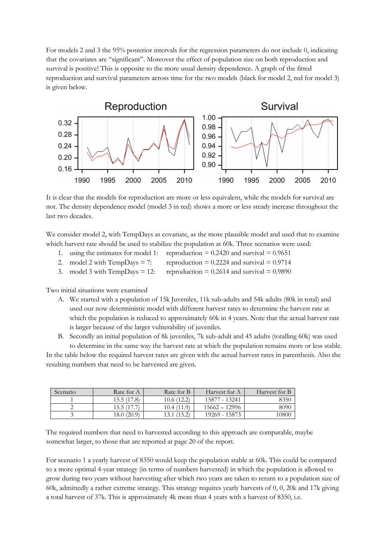For models 2 and 3 the 95% posterior intervals for the regression parameters do not include 0, indicating that the covariates are "significant". Moreover the effect of population size on both reproduction and survival is positive! This is opposite to the more usual density dependence. A graph of the fitted reproduction and survival parameters across time for the two models (black for model 2, red for model 3) is given below.



It is clear that the models for reproduction are more or less equivalent, while the models for survival are not. The density dependence model (model 3 in red) shows a more or less steady increase throughout the last two decades.

We consider model 2, with TempDays as covariate, as the more plausible model and used that to examine which harvest rate should be used to stabilize the population at 60k. Three scenarios were used:

- 1. using the estimates for model 1: reproduction  $= 0.2420$  and survival  $= 0.9651$
- 2. model 2 with TempDays = 7: reproduction = 0.2224 and survival = 0.9714
- 3. model 3 with TempDays = 12: reproduction =  $0.2614$  and survival =  $0.9890$

Two initial situations were examined

- A. We started with a population of 15k Juveniles, 11k sub-adults and 54k adults (80k in total) and used our now deterministic model with different harvest rates to determine the harvest rate at which the population is reduced to approximately 60k in 4 years. Note that the actual harvest rate is larger because of the larger vulnerability of juveniles.
- B. Secondly an initial population of 8k juveniles, 7k sub-adult and 45 adults (totalling 60k) was used to determine in the same way the harvest rate at which the population remains more or less stable.

In the table below the required harvest rates are given with the actual harvest rates in parenthesis. Also the resulting numbers that need to be harvested are given.

| Scenario | Rate for A  | Rate for B | Harvest for A   | Harvest for B |
|----------|-------------|------------|-----------------|---------------|
|          | 15.5 (17.8) | 10.6(12.2) | 15877 - 13241   | 8350          |
|          | 15.5 (17.   | 10.4(11.9) | $15662 - 12996$ | 8090          |
|          | 18.0(20.9)  | 13.1(15.2) | 19269 - 15873   | 0800          |

The required numbers that need to harvested according to this approach are comparable, maybe somewhat larger, to those that are reported at page 20 of the report.

For scenario 1 a yearly harvest of 8350 would keep the population stable at 60k. This could be compared to a more optimal 4-year strategy (in terms of numbers harvested) in which the population is allowed to grow during two years without harvesting after which two years are taken to return to a population size of 60k, admittedly a rather extreme strategy. This strategy requires yearly harvests of 0, 0, 20k and 17k giving a total harvest of 37k. This is approximately 4k more than 4 years with a harvest of 8350, i.e.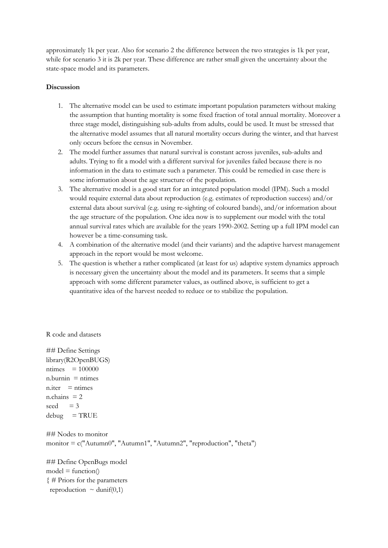approximately 1k per year. Also for scenario 2 the difference between the two strategies is 1k per year, while for scenario 3 it is 2k per year. These difference are rather small given the uncertainty about the state-space model and its parameters.

# **Discussion**

- 1. The alternative model can be used to estimate important population parameters without making the assumption that hunting mortality is some fixed fraction of total annual mortality. Moreover a three stage model, distinguishing sub-adults from adults, could be used. It must be stressed that the alternative model assumes that all natural mortality occurs during the winter, and that harvest only occurs before the census in November.
- 2. The model further assumes that natural survival is constant across juveniles, sub-adults and adults. Trying to fit a model with a different survival for juveniles failed because there is no information in the data to estimate such a parameter. This could be remedied in case there is some information about the age structure of the population.
- 3. The alternative model is a good start for an integrated population model (IPM). Such a model would require external data about reproduction (e.g. estimates of reproduction success) and/or external data about survival (e.g. using re-sighting of coloured bands), and/or information about the age structure of the population. One idea now is to supplement our model with the total annual survival rates which are available for the years 1990-2002. Setting up a full IPM model can however be a time-consuming task.
- 4. A combination of the alternative model (and their variants) and the adaptive harvest management approach in the report would be most welcome.
- 5. The question is whether a rather complicated (at least for us) adaptive system dynamics approach is necessary given the uncertainty about the model and its parameters. It seems that a simple approach with some different parameter values, as outlined above, is sufficient to get a quantitative idea of the harvest needed to reduce or to stabilize the population.

R code and datasets

## Define Settings library(R2OpenBUGS)  $ntimes = 100000$  $n.burnin = ntimes$  $n.$ iter = ntimes  $n$ .chains = 2 seed  $= 3$  $debug = TRUE$ ## Nodes to monitor monitor = c("Autumn0", "Autumn1", "Autumn2", "reproduction", "theta") ## Define OpenBugs model

 $model = function()$ { # Priors for the parameters reproduction  $\sim$  dunif(0,1)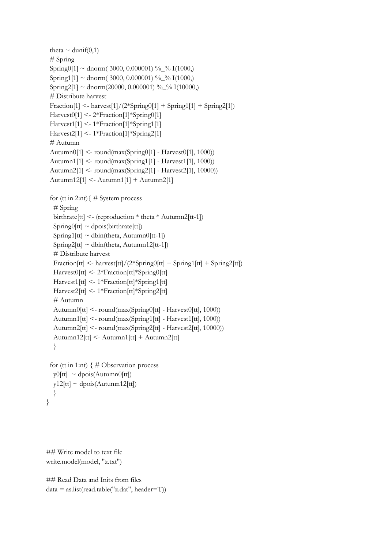```
theta \sim dunif(0,1)
  # Spring 
 Spring0[1] ~ dnorm(3000, 0.000001) % % I(1000,)
 Spring1[1] ~ dnorm(3000, 0.000001) %_% I(1000)
 Spring2[1] ~ dnorm(20000, 0.000001) %_% I(10000,)
 # Distribute harvest
 Fraction[1] <- harvest[1]/(2 *Spring0[1] + Spring1[1] + Spring2[1])
  Harvest0[1] <- 2*Fraction[1]*Spring0[1]
  Harvest1[1] <- 1*Fraction[1]*Spring1[1]
  Harvest2[1] <- 1*Fraction[1]*Spring2[1]
  # Autumn 
  Autumn0[1] <- round(max(Spring0[1] - Harvest0[1], 1000))
  Autumn1[1] <- round(max(Spring1[1] - Harvest1[1], 1000))
  Autumn2[1] <- round(max(Spring2[1] - Harvest2[1], 10000))
  Autumn12[1] <- Autumn1[1] + Autumn2[1]
 for (tt in 2:nt) \{\# System process
   # Spring 
  birthrate[tt] \leq (reproduction * theta * Autumn2[tt-1])
  Spring0[tt] \sim \text{dpois}(birthrate[tt])Spring1[tt] \sim dbin(theta, Autumn0[tt-1])
  Spring2[tt] \sim dbin(theta, Autumn12[tt-1])
   # Distribute harvest
  Fraction[tt] \langle- harvest[tt]/(2*Spring0[tt] + Spring1[tt] + Spring2[tt])
   Harvest0[tt] <- 2*Fraction[tt]*Spring0[tt]
   Harvest1[tt] <- 1*Fraction[tt]*Spring1[tt]
   Harvest2[tt] <- 1*Fraction[tt]*Spring2[tt]
   # Autumn 
   Autumn0[tt] <- round(max(Spring0[tt] - Harvest0[tt], 1000))
   Autumn1[tt] <- round(max(Spring1[tt] - Harvest1[tt], 1000))
   Autumn2[tt] <- round(max(Spring2[tt] - Harvest2[tt], 10000))
   Autumn12[tt] <- Autumn1[tt] + Autumn2[tt]
   }
 for (tt in 1:nt) \{\# Observation process
  \text{v0}[tt] \sim \text{dpois}(\text{Autumn0}[tt])y12[tt] \sim \text{dpois}(\text{Autumn12[tt]}) }
}
```
## Write model to text file write.model(model, "z.txt")

```
## Read Data and Inits from files
data = as. list (read. table("z.dat", header=T))
```